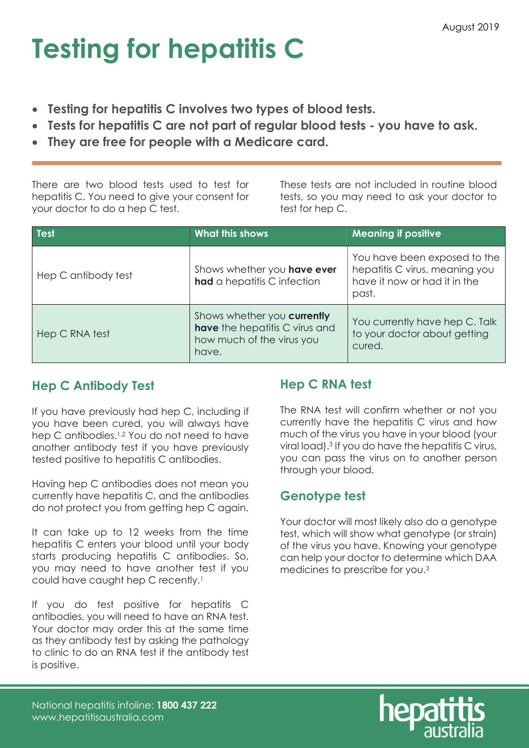# Testing for hepatitis C

- Testing for hepatitis C involves two types of blood tests.
- Tests for hepatitis C are not part of regular blood tests you have to ask.
- They are free for people with a Medicare card.

There are two blood tests used to test for hepatitis C. You need to give your consent for your doctor to do a hep C test.

These tests are not included in routine blood tests, so you may need to ask your doctor to test for hep C.

| Test                | <b>What this shows</b>                                                                              | <b>Meaning if positive</b>                                                                              |
|---------------------|-----------------------------------------------------------------------------------------------------|---------------------------------------------------------------------------------------------------------|
| Hep C antibody test | Shows whether you have ever<br>had a hepatitis C infection                                          | You have been exposed to the<br>hepatitis C virus, meaning you<br>have it now or had it in the<br>past. |
| Hep C RNA test      | Shows whether you currently<br>have the hepatitis C virus and<br>how much of the virus you<br>have. | You currently have hep C. Talk<br>to your doctor about getting<br>cured.                                |

## Hep C Antibody Test

If you have previously had hep C, including if you have been cured, you will always have hep C antibodies.<sup>1,2</sup> You do not need to have another antibody test if you have previously tested positive to hepatitis C antibodies.

Having hep C antibodies does not mean you currently have hepatitis C, and the antibodies do not protect you from getting hep C again.

It can take up to 12 weeks from the time hepatitis C enters your blood until your body starts producing hepatitis C antibodies. So, you may need to have another test if you could have caught hep C recently.<sup>1</sup>

If you do test positive for hepatitis C antibodies, you will need to have an RNA test. Your doctor may order this at the same time as they antibody test by asking the pathology to clinic to do an RNA test if the antibody test is positive.

## Hep C RNA test

The RNA test will confirm whether or not you currently have the hepatitis C virus and how much of the virus you have in your blood (your viral load).<sup>3</sup> If you do have the hepatitis C virus, you can pass the virus on to another person through your blood.

### Genotype test

Your doctor will most likely also do a genotype test, which will show what genotype (or strain) of the virus you have. Knowing your genotype can help your doctor to determine which DAA medicines to prescribe for you.3